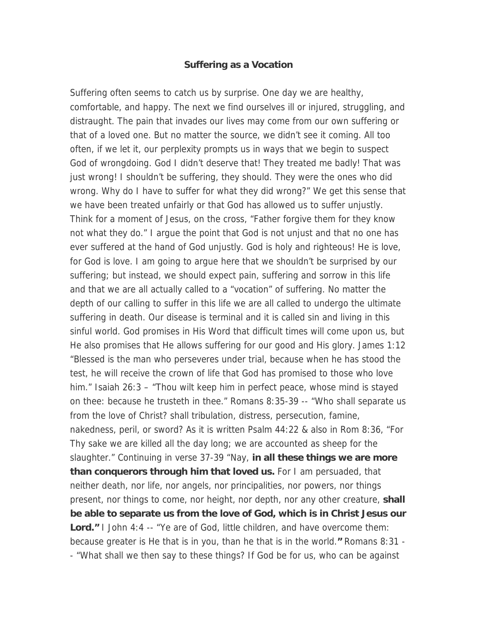## **Suffering as a Vocation**

Suffering often seems to catch us by surprise. One day we are healthy, comfortable, and happy. The next we find ourselves ill or injured, struggling, and distraught. The pain that invades our lives may come from our own suffering or that of a loved one. But no matter the source, we didn't see it coming. All too often, if we let it, our perplexity prompts us in ways that we begin to suspect God of wrongdoing. God I didn't deserve that! They treated me badly! That was just wrong! I shouldn't be suffering, they should. They were the ones who did wrong. Why do I have to suffer for what they did wrong?" We get this sense that we have been treated unfairly or that God has allowed us to suffer unjustly. Think for a moment of Jesus, on the cross, "Father forgive them for they know not what they do." I argue the point that God is not unjust and that no one has ever suffered at the hand of God unjustly. God is holy and righteous! He is love, for God is love. I am going to argue here that we shouldn't be surprised by our suffering; but instead, we should expect pain, suffering and sorrow in this life and that we are all actually called to a "vocation" of suffering. No matter the depth of our calling to suffer in this life we are all called to undergo the ultimate suffering in death. Our disease is terminal and it is called sin and living in this sinful world. God promises in His Word that difficult times will come upon us, but He also promises that He allows suffering for our good and His glory. James 1:12 "Blessed is the man who perseveres under trial, because when he has stood the test, he will receive the crown of life that God has promised to those who love him." Isaiah 26:3 – "Thou wilt keep him in perfect peace, whose mind is stayed on thee: because he trusteth in thee." Romans 8:35-39 -- "Who shall separate us from the love of Christ? shall tribulation, distress, persecution, famine, nakedness, peril, or sword? As it is written Psalm 44:22 & also in Rom 8:36, "For Thy sake we are killed all the day long; we are accounted as sheep for the slaughter." Continuing in verse 37-39 "Nay, **in all these things we are more than conquerors through him that loved us.** For I am persuaded, that neither death, nor life, nor angels, nor principalities, nor powers, nor things present, nor things to come, nor height, nor depth, nor any other creature, **shall be able to separate us from the love of God, which is in Christ Jesus our Lord."** I John 4:4 -- "Ye are of God, little children, and have overcome them: because greater is He that is in you, than he that is in the world.**"** Romans 8:31 - - "What shall we then say to these things? If God be for us, who can be against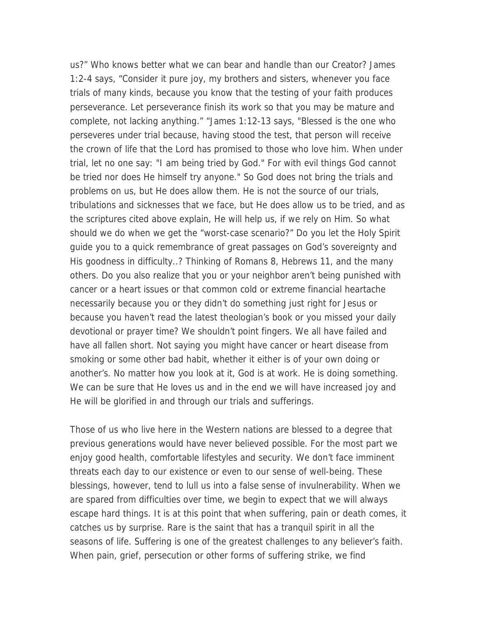us?" Who knows better what we can bear and handle than our Creator? James 1:2-4 says, "Consider it pure joy, my brothers and sisters, whenever you face trials of many kinds, because you know that the testing of your faith produces perseverance. Let perseverance finish its work so that you may be mature and complete, not lacking anything." "James 1:12-13 says, "Blessed is the one who perseveres under trial because, having stood the test, that person will receive the crown of life that the Lord has promised to those who love him. When under trial, let no one say: "I am being tried by God." For with evil things God cannot be tried nor does He himself try anyone." So God does not bring the trials and problems on us, but He does allow them. He is not the source of our trials, tribulations and sicknesses that we face, but He does allow us to be tried, and as the scriptures cited above explain, He will help us, if we rely on Him. So what should we do when we get the "worst-case scenario?" Do you let the Holy Spirit guide you to a quick remembrance of great passages on God's sovereignty and His goodness in difficulty..? Thinking of Romans 8, Hebrews 11, and the many others. Do you also realize that you or your neighbor aren't being punished with cancer or a heart issues or that common cold or extreme financial heartache necessarily because you or they didn't do something just right for Jesus or because you haven't read the latest theologian's book or you missed your daily devotional or prayer time? We shouldn't point fingers. We all have failed and have all fallen short. Not saying you might have cancer or heart disease from smoking or some other bad habit, whether it either is of your own doing or another's. No matter how you look at it, God is at work. He is doing something. We can be sure that He loves us and in the end we will have increased joy and He will be glorified in and through our trials and sufferings.

Those of us who live here in the Western nations are blessed to a degree that previous generations would have never believed possible. For the most part we enjoy good health, comfortable lifestyles and security. We don't face imminent threats each day to our existence or even to our sense of well-being. These blessings, however, tend to lull us into a false sense of invulnerability. When we are spared from difficulties over time, we begin to expect that we will always escape hard things. It is at this point that when suffering, pain or death comes, it catches us by surprise. Rare is the saint that has a tranquil spirit in all the seasons of life. Suffering is one of the greatest challenges to any believer's faith. When pain, grief, persecution or other forms of suffering strike, we find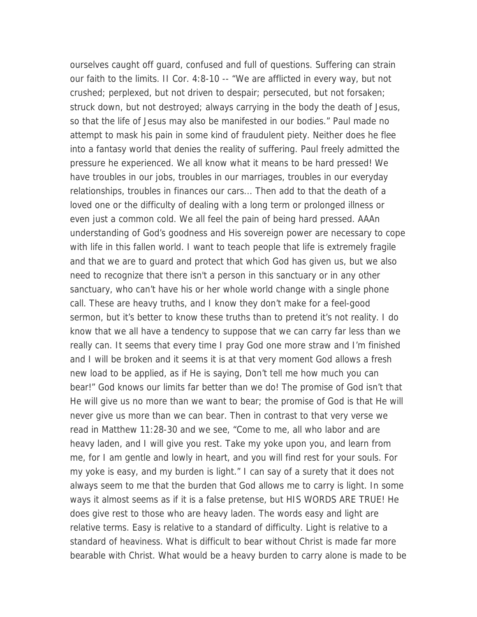ourselves caught off guard, confused and full of questions. Suffering can strain our faith to the limits. II Cor. 4:8-10 -- "We are afflicted in every way, but not crushed; perplexed, but not driven to despair; persecuted, but not forsaken; struck down, but not destroyed; always carrying in the body the death of Jesus, so that the life of Jesus may also be manifested in our bodies." Paul made no attempt to mask his pain in some kind of fraudulent piety. Neither does he flee into a fantasy world that denies the reality of suffering. Paul freely admitted the pressure he experienced. We all know what it means to be hard pressed! We have troubles in our jobs, troubles in our marriages, troubles in our everyday relationships, troubles in finances our cars... Then add to that the death of a loved one or the difficulty of dealing with a long term or prolonged illness or even just a common cold. We all feel the pain of being hard pressed. AAAn understanding of God's goodness and His sovereign power are necessary to cope with life in this fallen world. I want to teach people that life is extremely fragile and that we are to guard and protect that which God has given us, but we also need to recognize that there isn't a person in this sanctuary or in any other sanctuary, who can't have his or her whole world change with a single phone call. These are heavy truths, and I know they don't make for a feel-good sermon, but it's better to know these truths than to pretend it's not reality. I do know that we all have a tendency to suppose that we can carry far less than we really can. It seems that every time I pray God one more straw and I'm finished and I will be broken and it seems it is at that very moment God allows a fresh new load to be applied, as if He is saying, Don't tell me how much you can bear!" God knows our limits far better than we do! The promise of God isn't that He will give us no more than we want to bear; the promise of God is that He will never give us more than we can bear. Then in contrast to that very verse we read in Matthew 11:28-30 and we see, "Come to me, all who labor and are heavy laden, and I will give you rest. Take my yoke upon you, and learn from me, for I am gentle and lowly in heart, and you will find rest for your souls. For my yoke is easy, and my burden is light." I can say of a surety that it does not always seem to me that the burden that God allows me to carry is light. In some ways it almost seems as if it is a false pretense, but HIS WORDS ARE TRUE! He does give rest to those who are heavy laden. The words easy and light are relative terms. Easy is relative to a standard of difficulty. Light is relative to a standard of heaviness. What is difficult to bear without Christ is made far more bearable with Christ. What would be a heavy burden to carry alone is made to be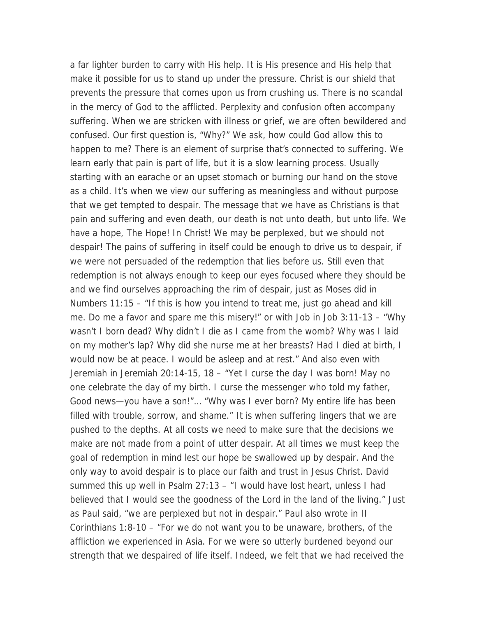a far lighter burden to carry with His help. It is His presence and His help that make it possible for us to stand up under the pressure. Christ is our shield that prevents the pressure that comes upon us from crushing us. There is no scandal in the mercy of God to the afflicted. Perplexity and confusion often accompany suffering. When we are stricken with illness or grief, we are often bewildered and confused. Our first question is, "Why?" We ask, how could God allow this to happen to me? There is an element of surprise that's connected to suffering. We learn early that pain is part of life, but it is a slow learning process. Usually starting with an earache or an upset stomach or burning our hand on the stove as a child. It's when we view our suffering as meaningless and without purpose that we get tempted to despair. The message that we have as Christians is that pain and suffering and even death, our death is not unto death, but unto life. We have a hope, The Hope! In Christ! We may be perplexed, but we should not despair! The pains of suffering in itself could be enough to drive us to despair, if we were not persuaded of the redemption that lies before us. Still even that redemption is not always enough to keep our eyes focused where they should be and we find ourselves approaching the rim of despair, just as Moses did in Numbers 11:15 – "If this is how you intend to treat me, just go ahead and kill me. Do me a favor and spare me this misery!" or with Job in Job 3:11-13 – "Why wasn't I born dead? Why didn't I die as I came from the womb? Why was I laid on my mother's lap? Why did she nurse me at her breasts? Had I died at birth, I would now be at peace. I would be asleep and at rest." And also even with Jeremiah in Jeremiah 20:14-15, 18 – "Yet I curse the day I was born! May no one celebrate the day of my birth. I curse the messenger who told my father, Good news—you have a son!"… "Why was I ever born? My entire life has been filled with trouble, sorrow, and shame." It is when suffering lingers that we are pushed to the depths. At all costs we need to make sure that the decisions we make are not made from a point of utter despair. At all times we must keep the goal of redemption in mind lest our hope be swallowed up by despair. And the only way to avoid despair is to place our faith and trust in Jesus Christ. David summed this up well in Psalm 27:13 – "I would have lost heart, unless I had believed that I would see the goodness of the Lord in the land of the living." Just as Paul said, "we are perplexed but not in despair." Paul also wrote in II Corinthians 1:8-10 – "For we do not want you to be unaware, brothers, of the affliction we experienced in Asia. For we were so utterly burdened beyond our strength that we despaired of life itself. Indeed, we felt that we had received the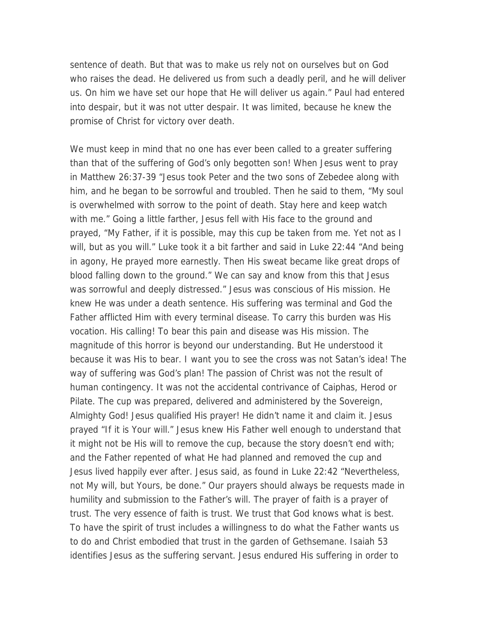sentence of death. But that was to make us rely not on ourselves but on God who raises the dead. He delivered us from such a deadly peril, and he will deliver us. On him we have set our hope that He will deliver us again." Paul had entered into despair, but it was not utter despair. It was limited, because he knew the promise of Christ for victory over death.

We must keep in mind that no one has ever been called to a greater suffering than that of the suffering of God's only begotten son! When Jesus went to pray in Matthew 26:37-39 "Jesus took Peter and the two sons of Zebedee along with him, and he began to be sorrowful and troubled. Then he said to them, "My soul is overwhelmed with sorrow to the point of death. Stay here and keep watch with me." Going a little farther, Jesus fell with His face to the ground and prayed, "My Father, if it is possible, may this cup be taken from me. Yet not as I will, but as you will." Luke took it a bit farther and said in Luke 22:44 "And being in agony, He prayed more earnestly. Then His sweat became like great drops of blood falling down to the ground." We can say and know from this that Jesus was sorrowful and deeply distressed." Jesus was conscious of His mission. He knew He was under a death sentence. His suffering was terminal and God the Father afflicted Him with every terminal disease. To carry this burden was His vocation. His calling! To bear this pain and disease was His mission. The magnitude of this horror is beyond our understanding. But He understood it because it was His to bear. I want you to see the cross was not Satan's idea! The way of suffering was God's plan! The passion of Christ was not the result of human contingency. It was not the accidental contrivance of Caiphas, Herod or Pilate. The cup was prepared, delivered and administered by the Sovereign, Almighty God! Jesus qualified His prayer! He didn't name it and claim it. Jesus prayed "If it is Your will." Jesus knew His Father well enough to understand that it might not be His will to remove the cup, because the story doesn't end with; and the Father repented of what He had planned and removed the cup and Jesus lived happily ever after. Jesus said, as found in Luke 22:42 "Nevertheless, not My will, but Yours, be done." Our prayers should always be requests made in humility and submission to the Father's will. The prayer of faith is a prayer of trust. The very essence of faith is trust. We trust that God knows what is best. To have the spirit of trust includes a willingness to do what the Father wants us to do and Christ embodied that trust in the garden of Gethsemane. Isaiah 53 identifies Jesus as the suffering servant. Jesus endured His suffering in order to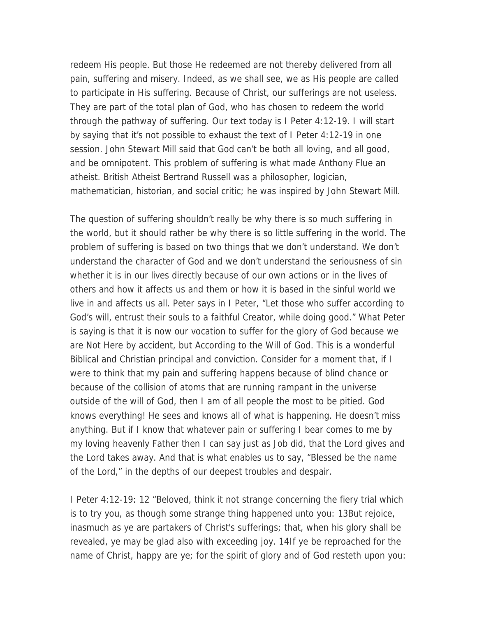redeem His people. But those He redeemed are not thereby delivered from all pain, suffering and misery. Indeed, as we shall see, we as His people are called to participate in His suffering. Because of Christ, our sufferings are not useless. They are part of the total plan of God, who has chosen to redeem the world through the pathway of suffering. Our text today is I Peter 4:12-19. I will start by saying that it's not possible to exhaust the text of I Peter 4:12-19 in one session. John Stewart Mill said that God can't be both all loving, and all good, and be omnipotent. This problem of suffering is what made Anthony Flue an atheist. British Atheist Bertrand Russell was a philosopher, logician, mathematician, historian, and social critic; he was inspired by John Stewart Mill.

The question of suffering shouldn't really be why there is so much suffering in the world, but it should rather be why there is so little suffering in the world. The problem of suffering is based on two things that we don't understand. We don't understand the character of God and we don't understand the seriousness of sin whether it is in our lives directly because of our own actions or in the lives of others and how it affects us and them or how it is based in the sinful world we live in and affects us all. Peter says in I Peter, "Let those who suffer according to God's will, entrust their souls to a faithful Creator, while doing good." What Peter is saying is that it is now our vocation to suffer for the glory of God because we are Not Here by accident, but According to the Will of God. This is a wonderful Biblical and Christian principal and conviction. Consider for a moment that, if I were to think that my pain and suffering happens because of blind chance or because of the collision of atoms that are running rampant in the universe outside of the will of God, then I am of all people the most to be pitied. God knows everything! He sees and knows all of what is happening. He doesn't miss anything. But if I know that whatever pain or suffering I bear comes to me by my loving heavenly Father then I can say just as Job did, that the Lord gives and the Lord takes away. And that is what enables us to say, "Blessed be the name of the Lord," in the depths of our deepest troubles and despair.

I Peter 4:12-19: 12 "Beloved, think it not strange concerning the fiery trial which is to try you, as though some strange thing happened unto you: 13But rejoice, inasmuch as ye are partakers of Christ's sufferings; that, when his glory shall be revealed, ye may be glad also with exceeding joy. 14If ye be reproached for the name of Christ, happy are ye; for the spirit of glory and of God resteth upon you: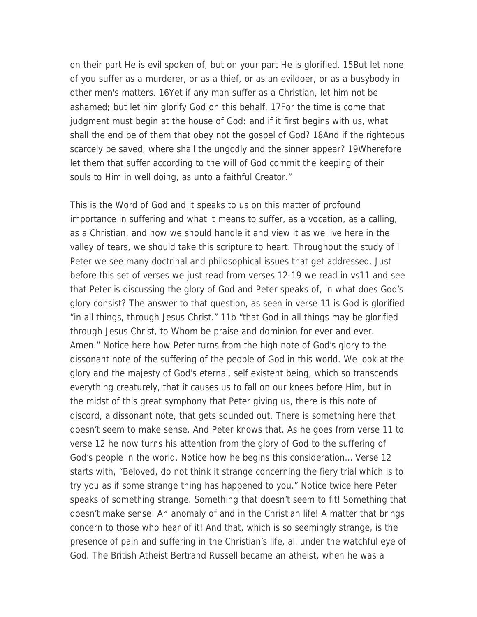on their part He is evil spoken of, but on your part He is glorified. 15But let none of you suffer as a murderer, or as a thief, or as an evildoer, or as a busybody in other men's matters. 16Yet if any man suffer as a Christian, let him not be ashamed; but let him glorify God on this behalf. 17For the time is come that judgment must begin at the house of God: and if it first begins with us, what shall the end be of them that obey not the gospel of God? 18And if the righteous scarcely be saved, where shall the ungodly and the sinner appear? 19Wherefore let them that suffer according to the will of God commit the keeping of their souls to Him in well doing, as unto a faithful Creator."

This is the Word of God and it speaks to us on this matter of profound importance in suffering and what it means to suffer, as a vocation, as a calling, as a Christian, and how we should handle it and view it as we live here in the valley of tears, we should take this scripture to heart. Throughout the study of I Peter we see many doctrinal and philosophical issues that get addressed. Just before this set of verses we just read from verses 12-19 we read in vs11 and see that Peter is discussing the glory of God and Peter speaks of, in what does God's glory consist? The answer to that question, as seen in verse 11 is God is glorified "in all things, through Jesus Christ." 11b "that God in all things may be glorified through Jesus Christ, to Whom be praise and dominion for ever and ever. Amen." Notice here how Peter turns from the high note of God's glory to the dissonant note of the suffering of the people of God in this world. We look at the glory and the majesty of God's eternal, self existent being, which so transcends everything creaturely, that it causes us to fall on our knees before Him, but in the midst of this great symphony that Peter giving us, there is this note of discord, a dissonant note, that gets sounded out. There is something here that doesn't seem to make sense. And Peter knows that. As he goes from verse 11 to verse 12 he now turns his attention from the glory of God to the suffering of God's people in the world. Notice how he begins this consideration… Verse 12 starts with, "Beloved, do not think it strange concerning the fiery trial which is to try you as if some strange thing has happened to you." Notice twice here Peter speaks of something strange. Something that doesn't seem to fit! Something that doesn't make sense! An anomaly of and in the Christian life! A matter that brings concern to those who hear of it! And that, which is so seemingly strange, is the presence of pain and suffering in the Christian's life, all under the watchful eye of God. The British Atheist Bertrand Russell became an atheist, when he was a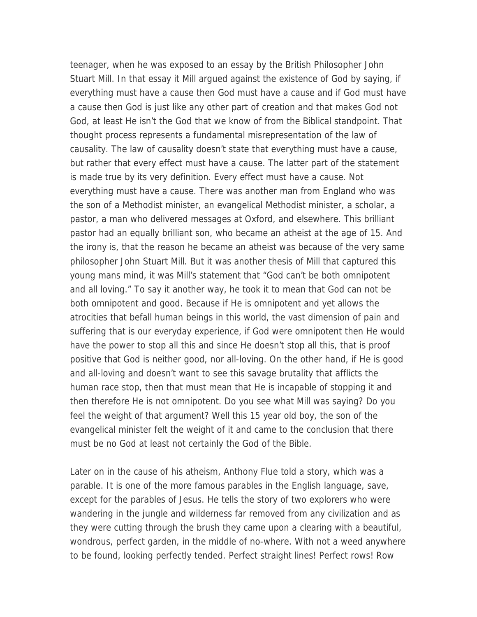teenager, when he was exposed to an essay by the British Philosopher John Stuart Mill. In that essay it Mill argued against the existence of God by saying, if everything must have a cause then God must have a cause and if God must have a cause then God is just like any other part of creation and that makes God not God, at least He isn't the God that we know of from the Biblical standpoint. That thought process represents a fundamental misrepresentation of the law of causality. The law of causality doesn't state that everything must have a cause, but rather that every effect must have a cause. The latter part of the statement is made true by its very definition. Every effect must have a cause. Not everything must have a cause. There was another man from England who was the son of a Methodist minister, an evangelical Methodist minister, a scholar, a pastor, a man who delivered messages at Oxford, and elsewhere. This brilliant pastor had an equally brilliant son, who became an atheist at the age of 15. And the irony is, that the reason he became an atheist was because of the very same philosopher John Stuart Mill. But it was another thesis of Mill that captured this young mans mind, it was Mill's statement that "God can't be both omnipotent and all loving." To say it another way, he took it to mean that God can not be both omnipotent and good. Because if He is omnipotent and yet allows the atrocities that befall human beings in this world, the vast dimension of pain and suffering that is our everyday experience, if God were omnipotent then He would have the power to stop all this and since He doesn't stop all this, that is proof positive that God is neither good, nor all-loving. On the other hand, if He is good and all-loving and doesn't want to see this savage brutality that afflicts the human race stop, then that must mean that He is incapable of stopping it and then therefore He is not omnipotent. Do you see what Mill was saying? Do you feel the weight of that argument? Well this 15 year old boy, the son of the evangelical minister felt the weight of it and came to the conclusion that there must be no God at least not certainly the God of the Bible.

Later on in the cause of his atheism, Anthony Flue told a story, which was a parable. It is one of the more famous parables in the English language, save, except for the parables of Jesus. He tells the story of two explorers who were wandering in the jungle and wilderness far removed from any civilization and as they were cutting through the brush they came upon a clearing with a beautiful, wondrous, perfect garden, in the middle of no-where. With not a weed anywhere to be found, looking perfectly tended. Perfect straight lines! Perfect rows! Row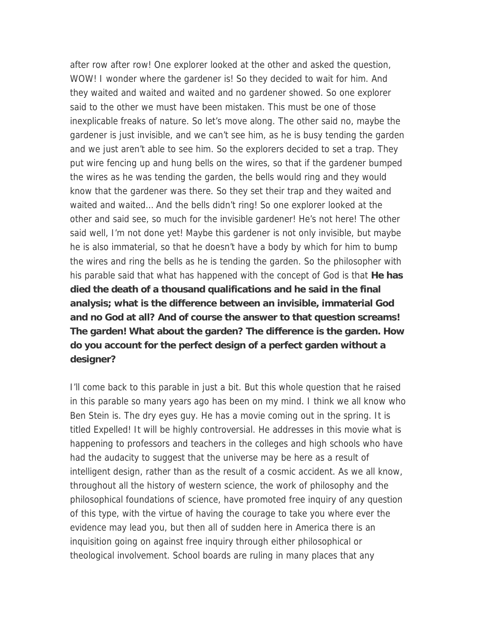after row after row! One explorer looked at the other and asked the question, WOW! I wonder where the gardener is! So they decided to wait for him. And they waited and waited and waited and no gardener showed. So one explorer said to the other we must have been mistaken. This must be one of those inexplicable freaks of nature. So let's move along. The other said no, maybe the gardener is just invisible, and we can't see him, as he is busy tending the garden and we just aren't able to see him. So the explorers decided to set a trap. They put wire fencing up and hung bells on the wires, so that if the gardener bumped the wires as he was tending the garden, the bells would ring and they would know that the gardener was there. So they set their trap and they waited and waited and waited… And the bells didn't ring! So one explorer looked at the other and said see, so much for the invisible gardener! He's not here! The other said well, I'm not done yet! Maybe this gardener is not only invisible, but maybe he is also immaterial, so that he doesn't have a body by which for him to bump the wires and ring the bells as he is tending the garden. So the philosopher with his parable said that what has happened with the concept of God is that **He has died the death of a thousand qualifications and he said in the final analysis; what is the difference between an invisible, immaterial God and no God at all? And of course the answer to that question screams! The garden! What about the garden? The difference is the garden. How do you account for the perfect design of a perfect garden without a designer?**

I'll come back to this parable in just a bit. But this whole question that he raised in this parable so many years ago has been on my mind. I think we all know who Ben Stein is. The dry eyes guy. He has a movie coming out in the spring. It is titled Expelled! It will be highly controversial. He addresses in this movie what is happening to professors and teachers in the colleges and high schools who have had the audacity to suggest that the universe may be here as a result of intelligent design, rather than as the result of a cosmic accident. As we all know, throughout all the history of western science, the work of philosophy and the philosophical foundations of science, have promoted free inquiry of any question of this type, with the virtue of having the courage to take you where ever the evidence may lead you, but then all of sudden here in America there is an inquisition going on against free inquiry through either philosophical or theological involvement. School boards are ruling in many places that any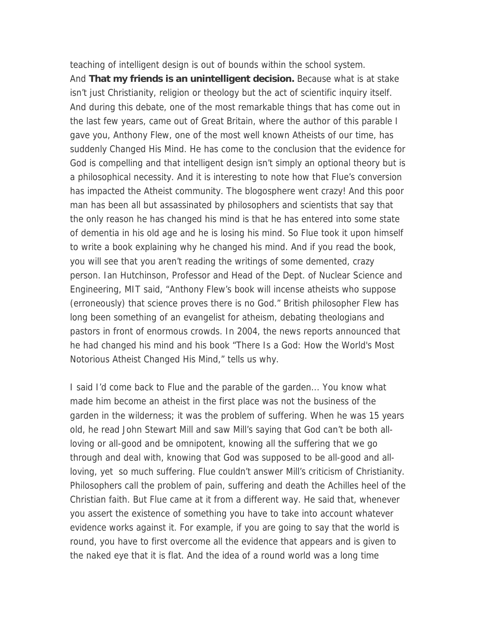teaching of intelligent design is out of bounds within the school system. And **That my friends is an unintelligent decision.** Because what is at stake isn't just Christianity, religion or theology but the act of scientific inquiry itself. And during this debate, one of the most remarkable things that has come out in the last few years, came out of Great Britain, where the author of this parable I gave you, Anthony Flew, one of the most well known Atheists of our time, has suddenly Changed His Mind. He has come to the conclusion that the evidence for God is compelling and that intelligent design isn't simply an optional theory but is a philosophical necessity. And it is interesting to note how that Flue's conversion has impacted the Atheist community. The blogosphere went crazy! And this poor man has been all but assassinated by philosophers and scientists that say that the only reason he has changed his mind is that he has entered into some state of dementia in his old age and he is losing his mind. So Flue took it upon himself to write a book explaining why he changed his mind. And if you read the book, you will see that you aren't reading the writings of some demented, crazy person. Ian Hutchinson, Professor and Head of the Dept. of Nuclear Science and Engineering, MIT said, "Anthony Flew's book will incense atheists who suppose (erroneously) that science proves there is no God." British philosopher Flew has long been something of an evangelist for atheism, debating theologians and pastors in front of enormous crowds. In 2004, the news reports announced that he had changed his mind and his book "There Is a God: How the World's Most Notorious Atheist Changed His Mind," tells us why.

I said I'd come back to Flue and the parable of the garden... You know what made him become an atheist in the first place was not the business of the garden in the wilderness; it was the problem of suffering. When he was 15 years old, he read John Stewart Mill and saw Mill's saying that God can't be both allloving or all-good and be omnipotent, knowing all the suffering that we go through and deal with, knowing that God was supposed to be all-good and allloving, yet so much suffering. Flue couldn't answer Mill's criticism of Christianity. Philosophers call the problem of pain, suffering and death the Achilles heel of the Christian faith. But Flue came at it from a different way. He said that, whenever you assert the existence of something you have to take into account whatever evidence works against it. For example, if you are going to say that the world is round, you have to first overcome all the evidence that appears and is given to the naked eye that it is flat. And the idea of a round world was a long time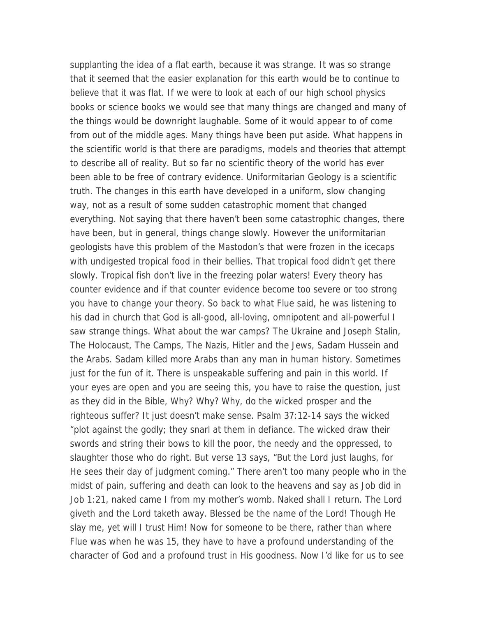supplanting the idea of a flat earth, because it was strange. It was so strange that it seemed that the easier explanation for this earth would be to continue to believe that it was flat. If we were to look at each of our high school physics books or science books we would see that many things are changed and many of the things would be downright laughable. Some of it would appear to of come from out of the middle ages. Many things have been put aside. What happens in the scientific world is that there are paradigms, models and theories that attempt to describe all of reality. But so far no scientific theory of the world has ever been able to be free of contrary evidence. Uniformitarian Geology is a scientific truth. The changes in this earth have developed in a uniform, slow changing way, not as a result of some sudden catastrophic moment that changed everything. Not saying that there haven't been some catastrophic changes, there have been, but in general, things change slowly. However the uniformitarian geologists have this problem of the Mastodon's that were frozen in the icecaps with undigested tropical food in their bellies. That tropical food didn't get there slowly. Tropical fish don't live in the freezing polar waters! Every theory has counter evidence and if that counter evidence become too severe or too strong you have to change your theory. So back to what Flue said, he was listening to his dad in church that God is all-good, all-loving, omnipotent and all-powerful I saw strange things. What about the war camps? The Ukraine and Joseph Stalin, The Holocaust, The Camps, The Nazis, Hitler and the Jews, Sadam Hussein and the Arabs. Sadam killed more Arabs than any man in human history. Sometimes just for the fun of it. There is unspeakable suffering and pain in this world. If your eyes are open and you are seeing this, you have to raise the question, just as they did in the Bible, Why? Why? Why, do the wicked prosper and the righteous suffer? It just doesn't make sense. Psalm 37:12-14 says the wicked "plot against the godly; they snarl at them in defiance. The wicked draw their swords and string their bows to kill the poor, the needy and the oppressed, to slaughter those who do right. But verse 13 says, "But the Lord just laughs, for He sees their day of judgment coming." There aren't too many people who in the midst of pain, suffering and death can look to the heavens and say as Job did in Job 1:21, naked came I from my mother's womb. Naked shall I return. The Lord giveth and the Lord taketh away. Blessed be the name of the Lord! Though He slay me, yet will I trust Him! Now for someone to be there, rather than where Flue was when he was 15, they have to have a profound understanding of the character of God and a profound trust in His goodness. Now I'd like for us to see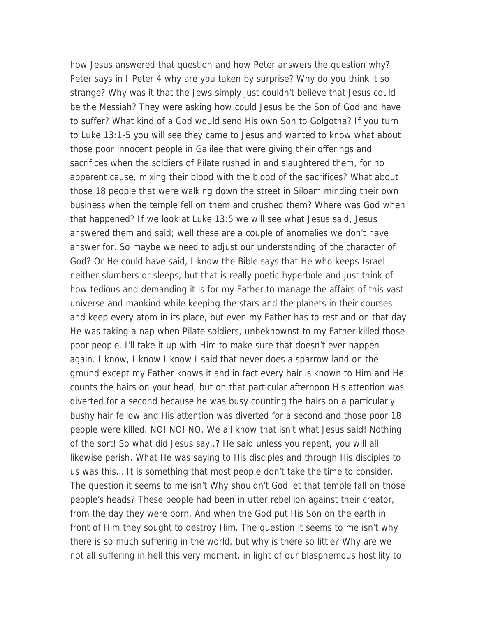how Jesus answered that question and how Peter answers the question why? Peter says in I Peter 4 why are you taken by surprise? Why do you think it so strange? Why was it that the Jews simply just couldn't believe that Jesus could be the Messiah? They were asking how could Jesus be the Son of God and have to suffer? What kind of a God would send His own Son to Golgotha? If you turn to Luke 13:1-5 you will see they came to Jesus and wanted to know what about those poor innocent people in Galilee that were giving their offerings and sacrifices when the soldiers of Pilate rushed in and slaughtered them, for no apparent cause, mixing their blood with the blood of the sacrifices? What about those 18 people that were walking down the street in Siloam minding their own business when the temple fell on them and crushed them? Where was God when that happened? If we look at Luke 13:5 we will see what Jesus said, Jesus answered them and said; well these are a couple of anomalies we don't have answer for. So maybe we need to adjust our understanding of the character of God? Or He could have said, I know the Bible says that He who keeps Israel neither slumbers or sleeps, but that is really poetic hyperbole and just think of how tedious and demanding it is for my Father to manage the affairs of this vast universe and mankind while keeping the stars and the planets in their courses and keep every atom in its place, but even my Father has to rest and on that day He was taking a nap when Pilate soldiers, unbeknownst to my Father killed those poor people. I'll take it up with Him to make sure that doesn't ever happen again. I know, I know I know I said that never does a sparrow land on the ground except my Father knows it and in fact every hair is known to Him and He counts the hairs on your head, but on that particular afternoon His attention was diverted for a second because he was busy counting the hairs on a particularly bushy hair fellow and His attention was diverted for a second and those poor 18 people were killed. NO! NO! NO. We all know that isn't what Jesus said! Nothing of the sort! So what did Jesus say..? He said unless you repent, you will all likewise perish. What He was saying to His disciples and through His disciples to us was this… It is something that most people don't take the time to consider. The question it seems to me isn't Why shouldn't God let that temple fall on those people's heads? These people had been in utter rebellion against their creator, from the day they were born. And when the God put His Son on the earth in front of Him they sought to destroy Him. The question it seems to me isn't why there is so much suffering in the world, but why is there so little? Why are we not all suffering in hell this very moment, in light of our blasphemous hostility to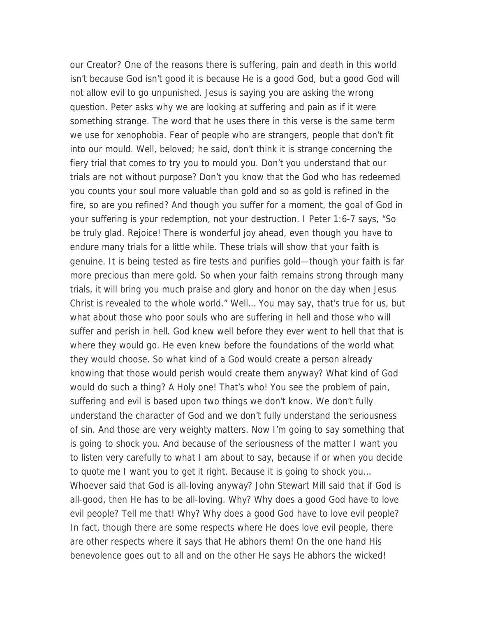our Creator? One of the reasons there is suffering, pain and death in this world isn't because God isn't good it is because He is a good God, but a good God will not allow evil to go unpunished. Jesus is saying you are asking the wrong question. Peter asks why we are looking at suffering and pain as if it were something strange. The word that he uses there in this verse is the same term we use for xenophobia. Fear of people who are strangers, people that don't fit into our mould. Well, beloved; he said, don't think it is strange concerning the fiery trial that comes to try you to mould you. Don't you understand that our trials are not without purpose? Don't you know that the God who has redeemed you counts your soul more valuable than gold and so as gold is refined in the fire, so are you refined? And though you suffer for a moment, the goal of God in your suffering is your redemption, not your destruction. I Peter 1:6-7 says, "So be truly glad. Rejoice! There is wonderful joy ahead, even though you have to endure many trials for a little while. These trials will show that your faith is genuine. It is being tested as fire tests and purifies gold—though your faith is far more precious than mere gold. So when your faith remains strong through many trials, it will bring you much praise and glory and honor on the day when Jesus Christ is revealed to the whole world." Well… You may say, that's true for us, but what about those who poor souls who are suffering in hell and those who will suffer and perish in hell. God knew well before they ever went to hell that that is where they would go. He even knew before the foundations of the world what they would choose. So what kind of a God would create a person already knowing that those would perish would create them anyway? What kind of God would do such a thing? A Holy one! That's who! You see the problem of pain, suffering and evil is based upon two things we don't know. We don't fully understand the character of God and we don't fully understand the seriousness of sin. And those are very weighty matters. Now I'm going to say something that is going to shock you. And because of the seriousness of the matter I want you to listen very carefully to what I am about to say, because if or when you decide to quote me I want you to get it right. Because it is going to shock you… Whoever said that God is all-loving anyway? John Stewart Mill said that if God is all-good, then He has to be all-loving. Why? Why does a good God have to love evil people? Tell me that! Why? Why does a good God have to love evil people? In fact, though there are some respects where He does love evil people, there are other respects where it says that He abhors them! On the one hand His benevolence goes out to all and on the other He says He abhors the wicked!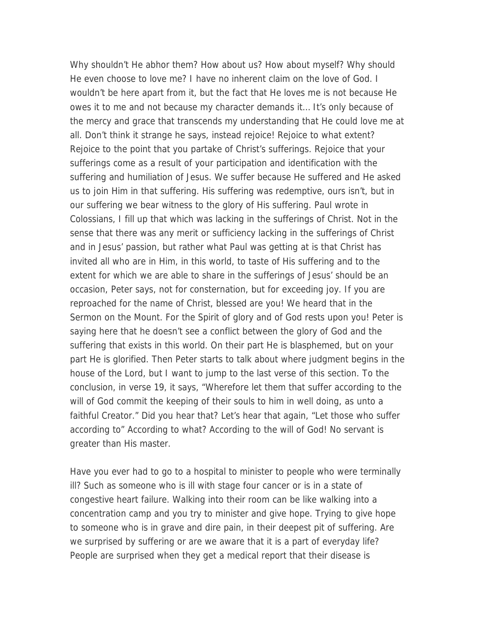Why shouldn't He abhor them? How about us? How about myself? Why should He even choose to love me? I have no inherent claim on the love of God. I wouldn't be here apart from it, but the fact that He loves me is not because He owes it to me and not because my character demands it… It's only because of the mercy and grace that transcends my understanding that He could love me at all. Don't think it strange he says, instead rejoice! Rejoice to what extent? Rejoice to the point that you partake of Christ's sufferings. Rejoice that your sufferings come as a result of your participation and identification with the suffering and humiliation of Jesus. We suffer because He suffered and He asked us to join Him in that suffering. His suffering was redemptive, ours isn't, but in our suffering we bear witness to the glory of His suffering. Paul wrote in Colossians, I fill up that which was lacking in the sufferings of Christ. Not in the sense that there was any merit or sufficiency lacking in the sufferings of Christ and in Jesus' passion, but rather what Paul was getting at is that Christ has invited all who are in Him, in this world, to taste of His suffering and to the extent for which we are able to share in the sufferings of Jesus' should be an occasion, Peter says, not for consternation, but for exceeding joy. If you are reproached for the name of Christ, blessed are you! We heard that in the Sermon on the Mount. For the Spirit of glory and of God rests upon you! Peter is saying here that he doesn't see a conflict between the glory of God and the suffering that exists in this world. On their part He is blasphemed, but on your part He is glorified. Then Peter starts to talk about where judgment begins in the house of the Lord, but I want to jump to the last verse of this section. To the conclusion, in verse 19, it says, "Wherefore let them that suffer according to the will of God commit the keeping of their souls to him in well doing, as unto a faithful Creator." Did you hear that? Let's hear that again, "Let those who suffer according to" According to what? According to the will of God! No servant is greater than His master.

Have you ever had to go to a hospital to minister to people who were terminally ill? Such as someone who is ill with stage four cancer or is in a state of congestive heart failure. Walking into their room can be like walking into a concentration camp and you try to minister and give hope. Trying to give hope to someone who is in grave and dire pain, in their deepest pit of suffering. Are we surprised by suffering or are we aware that it is a part of everyday life? People are surprised when they get a medical report that their disease is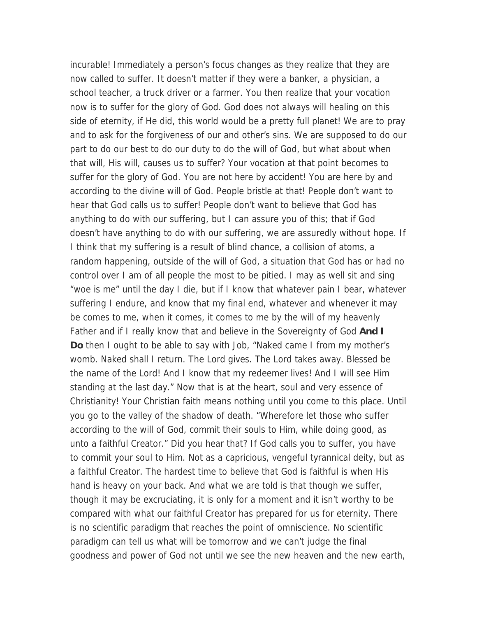incurable! Immediately a person's focus changes as they realize that they are now called to suffer. It doesn't matter if they were a banker, a physician, a school teacher, a truck driver or a farmer. You then realize that your vocation now is to suffer for the glory of God. God does not always will healing on this side of eternity, if He did, this world would be a pretty full planet! We are to pray and to ask for the forgiveness of our and other's sins. We are supposed to do our part to do our best to do our duty to do the will of God, but what about when that will, His will, causes us to suffer? Your vocation at that point becomes to suffer for the glory of God. You are not here by accident! You are here by and according to the divine will of God. People bristle at that! People don't want to hear that God calls us to suffer! People don't want to believe that God has anything to do with our suffering, but I can assure you of this; that if God doesn't have anything to do with our suffering, we are assuredly without hope. If I think that my suffering is a result of blind chance, a collision of atoms, a random happening, outside of the will of God, a situation that God has or had no control over I am of all people the most to be pitied. I may as well sit and sing "woe is me" until the day I die, but if I know that whatever pain I bear, whatever suffering I endure, and know that my final end, whatever and whenever it may be comes to me, when it comes, it comes to me by the will of my heavenly Father and if I really know that and believe in the Sovereignty of God **And I Do** then I ought to be able to say with Job, "Naked came I from my mother's womb. Naked shall I return. The Lord gives. The Lord takes away. Blessed be the name of the Lord! And I know that my redeemer lives! And I will see Him standing at the last day." Now that is at the heart, soul and very essence of Christianity! Your Christian faith means nothing until you come to this place. Until you go to the valley of the shadow of death. "Wherefore let those who suffer according to the will of God, commit their souls to Him, while doing good, as unto a faithful Creator." Did you hear that? If God calls you to suffer, you have to commit your soul to Him. Not as a capricious, vengeful tyrannical deity, but as a faithful Creator. The hardest time to believe that God is faithful is when His hand is heavy on your back. And what we are told is that though we suffer, though it may be excruciating, it is only for a moment and it isn't worthy to be compared with what our faithful Creator has prepared for us for eternity. There is no scientific paradigm that reaches the point of omniscience. No scientific paradigm can tell us what will be tomorrow and we can't judge the final goodness and power of God not until we see the new heaven and the new earth,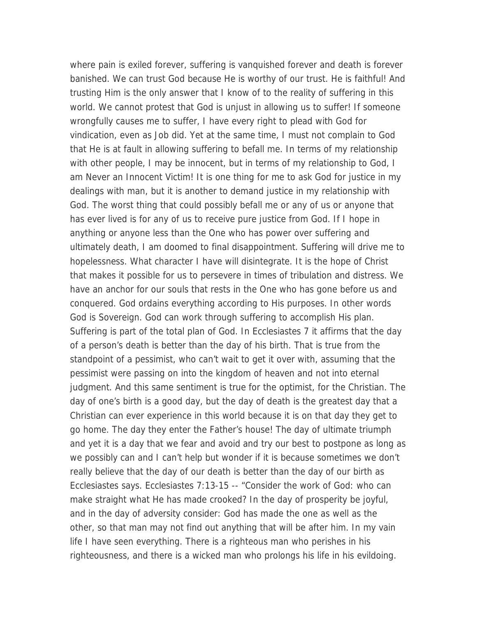where pain is exiled forever, suffering is vanquished forever and death is forever banished. We can trust God because He is worthy of our trust. He is faithful! And trusting Him is the only answer that I know of to the reality of suffering in this world. We cannot protest that God is unjust in allowing us to suffer! If someone wrongfully causes me to suffer, I have every right to plead with God for vindication, even as Job did. Yet at the same time, I must not complain to God that He is at fault in allowing suffering to befall me. In terms of my relationship with other people, I may be innocent, but in terms of my relationship to God, I am Never an Innocent Victim! It is one thing for me to ask God for justice in my dealings with man, but it is another to demand justice in my relationship with God. The worst thing that could possibly befall me or any of us or anyone that has ever lived is for any of us to receive pure justice from God. If I hope in anything or anyone less than the One who has power over suffering and ultimately death, I am doomed to final disappointment. Suffering will drive me to hopelessness. What character I have will disintegrate. It is the hope of Christ that makes it possible for us to persevere in times of tribulation and distress. We have an anchor for our souls that rests in the One who has gone before us and conquered. God ordains everything according to His purposes. In other words God is Sovereign. God can work through suffering to accomplish His plan. Suffering is part of the total plan of God. In Ecclesiastes 7 it affirms that the day of a person's death is better than the day of his birth. That is true from the standpoint of a pessimist, who can't wait to get it over with, assuming that the pessimist were passing on into the kingdom of heaven and not into eternal judgment. And this same sentiment is true for the optimist, for the Christian. The day of one's birth is a good day, but the day of death is the greatest day that a Christian can ever experience in this world because it is on that day they get to go home. The day they enter the Father's house! The day of ultimate triumph and yet it is a day that we fear and avoid and try our best to postpone as long as we possibly can and I can't help but wonder if it is because sometimes we don't really believe that the day of our death is better than the day of our birth as Ecclesiastes says. Ecclesiastes 7:13-15 -- "Consider the work of God: who can make straight what He has made crooked? In the day of prosperity be joyful, and in the day of adversity consider: God has made the one as well as the other, so that man may not find out anything that will be after him. In my vain life I have seen everything. There is a righteous man who perishes in his righteousness, and there is a wicked man who prolongs his life in his evildoing.